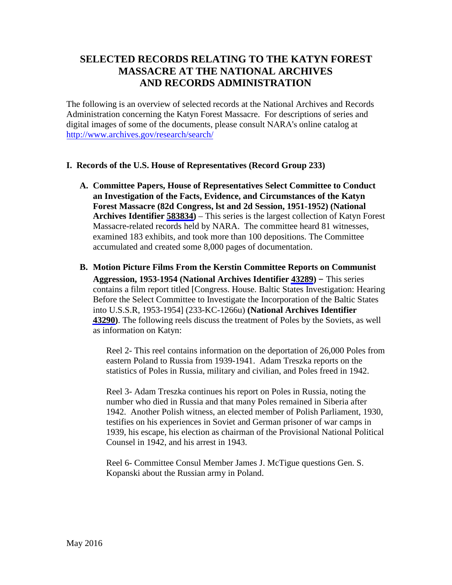# **SELECTED RECORDS RELATING TO THE KATYN FOREST MASSACRE AT THE NATIONAL ARCHIVES AND RECORDS ADMINISTRATION**

The following is an overview of selected records at the National Archives and Records Administration concerning the Katyn Forest Massacre. For descriptions of series and digital images of some of the documents, please consult NARA's online catalog at http://www.archives.gov/research/search/

### **I. Records of the U.S. House of Representatives (Record Group 233)**

- **A. Committee Papers, House of Representatives Select Committee to Conduct an Investigation of the Facts, Evidence, and Circumstances of the Katyn Forest Massacre (82d Congress, lst and 2d Session, 1951-1952) (National Archives Identifier [583834\)](https://catalog.archives.gov/id/583834)** – This series is the largest collection of Katyn Forest Massacre-related records held by NARA. The committee heard 81 witnesses, examined 183 exhibits, and took more than 100 depositions. The Committee accumulated and created some 8,000 pages of documentation.
- **B. Motion Picture Films From the Kerstin Committee Reports on Communist Aggression, 1953-1954 (National Archives Identifier [43289](https://catalog.archives.gov/id/43289))** – This series contains a film report titled [Congress. House. Baltic States Investigation: Hearing Before the Select Committee to Investigate the Incorporation of the Baltic States into U.S.S.R, 1953-1954] (233-KC-1266u) **(National Archives Identifier [43290](https://catalog.archives.gov/id/43290))**. The following reels discuss the treatment of Poles by the Soviets, as well as information on Katyn:

Reel 2- This reel contains information on the deportation of 26,000 Poles from eastern Poland to Russia from 1939-1941. Adam Treszka reports on the statistics of Poles in Russia, military and civilian, and Poles freed in 1942.

Reel 3- Adam Treszka continues his report on Poles in Russia, noting the number who died in Russia and that many Poles remained in Siberia after 1942. Another Polish witness, an elected member of Polish Parliament, 1930, testifies on his experiences in Soviet and German prisoner of war camps in 1939, his escape, his election as chairman of the Provisional National Political Counsel in 1942, and his arrest in 1943.

Reel 6- Committee Consul Member James J. McTigue questions Gen. S. Kopanski about the Russian army in Poland.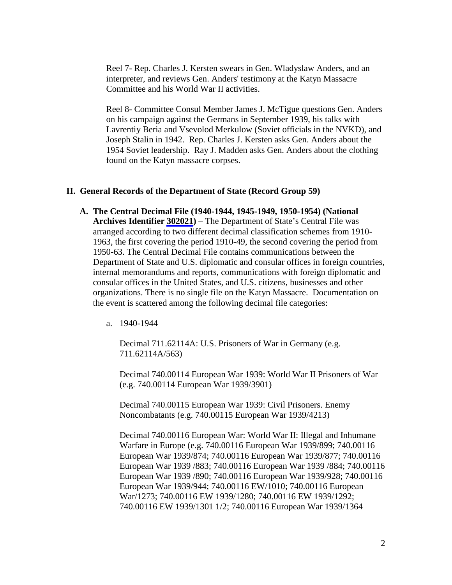Reel 7- Rep. Charles J. Kersten swears in Gen. Wladyslaw Anders, and an interpreter, and reviews Gen. Anders' testimony at the Katyn Massacre Committee and his World War II activities.

Reel 8- Committee Consul Member James J. McTigue questions Gen. Anders on his campaign against the Germans in September 1939, his talks with Lavrentiy Beria and Vsevolod Merkulow (Soviet officials in the NVKD), and Joseph Stalin in 1942. Rep. Charles J. Kersten asks Gen. Anders about the 1954 Soviet leadership. Ray J. Madden asks Gen. Anders about the clothing found on the Katyn massacre corpses.

#### **II. General Records of the Department of State (Record Group 59)**

- **A. The Central Decimal File (1940-1944, 1945-1949, 1950-1954) (National Archives Identifier [302021\)](https://catalog.archives.gov/id/302021)** – The Department of State's Central File was arranged according to two different decimal classification schemes from 1910- 1963, the first covering the period 1910-49, the second covering the period from 1950-63. The Central Decimal File contains communications between the Department of State and U.S. diplomatic and consular offices in foreign countries, internal memorandums and reports, communications with foreign diplomatic and consular offices in the United States, and U.S. citizens, businesses and other organizations. There is no single file on the Katyn Massacre. Documentation on the event is scattered among the following decimal file categories:
	- a. 1940-1944

Decimal 711.62114A: U.S. Prisoners of War in Germany (e.g. 711.62114A/563)

Decimal 740.00114 European War 1939: World War II Prisoners of War (e.g. 740.00114 European War 1939/3901)

Decimal 740.00115 European War 1939: Civil Prisoners. Enemy Noncombatants (e.g. 740.00115 European War 1939/4213)

Decimal 740.00116 European War: World War II: Illegal and Inhumane Warfare in Europe (e.g. 740.00116 European War 1939/899; 740.00116 European War 1939/874; 740.00116 European War 1939/877; 740.00116 European War 1939 /883; 740.00116 European War 1939 /884; 740.00116 European War 1939 /890; 740.00116 European War 1939/928; 740.00116 European War 1939/944; 740.00116 EW/1010; 740.00116 European War/1273; 740.00116 EW 1939/1280; 740.00116 EW 1939/1292; 740.00116 EW 1939/1301 1/2; 740.00116 European War 1939/1364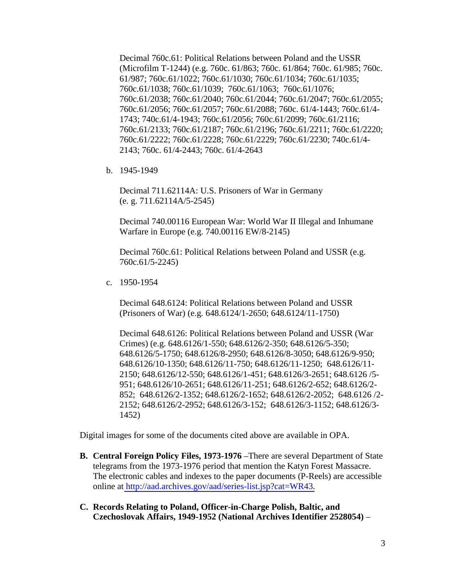Decimal 760c.61: Political Relations between Poland and the USSR (Microfilm T-1244) (e.g. 760c. 61/863; 760c. 61/864; 760c. 61/985; 760c. 61/987; 760c.61/1022; 760c.61/1030; 760c.61/1034; 760c.61/1035; 760c.61/1038; 760c.61/1039; 760c.61/1063; 760c.61/1076; 760c.61/2038; 760c.61/2040; 760c.61/2044; 760c.61/2047; 760c.61/2055; 760c.61/2056; 760c.61/2057; 760c.61/2088; 760c. 61/4-1443; 760c.61/4- 1743; 740c.61/4-1943; 760c.61/2056; 760c.61/2099; 760c.61/2116; 760c.61/2133; 760c.61/2187; 760c.61/2196; 760c.61/2211; 760c.61/2220; 760c.61/2222; 760c.61/2228; 760c.61/2229; 760c.61/2230; 740c.61/4- 2143; 760c. 61/4-2443; 760c. 61/4-2643

b. 1945-1949

Decimal 711.62114A: U.S. Prisoners of War in Germany (e. g. 711.62114A/5-2545)

Decimal 740.00116 European War: World War II Illegal and Inhumane Warfare in Europe (e.g. 740.00116 EW/8-2145)

Decimal 760c.61: Political Relations between Poland and USSR (e.g. 760c.61/5-2245)

c. 1950-1954

Decimal 648.6124: Political Relations between Poland and USSR (Prisoners of War) (e.g. 648.6124/1-2650; 648.6124/11-1750)

Decimal 648.6126: Political Relations between Poland and USSR (War Crimes) (e.g. 648.6126/1-550; 648.6126/2-350; 648.6126/5-350; 648.6126/5-1750; 648.6126/8-2950; 648.6126/8-3050; 648.6126/9-950; 648.6126/10-1350; 648.6126/11-750; 648.6126/11-1250; 648.6126/11- 2150; 648.6126/12-550; 648.6126/1-451; 648.6126/3-2651; 648.6126 /5- 951; 648.6126/10-2651; 648.6126/11-251; 648.6126/2-652; 648.6126/2- 852; 648.6126/2-1352; 648.6126/2-1652; 648.6126/2-2052; 648.6126 /2- 2152; 648.6126/2-2952; 648.6126/3-152; 648.6126/3-1152; 648.6126/3- 1452)

Digital images for some of the documents cited above are available in OPA.

- **B. Central Foreign Policy Files, 1973-1976** –There are several Department of State telegrams from the 1973-1976 period that mention the Katyn Forest Massacre. The electronic cables and indexes to the paper documents (P-Reels) are accessible online at [http://aad.archives.gov/aad/series-list.jsp?cat=WR43.](http://aad.archives.gov/aad/series-list.jsp?cat=WR43)
- **C. Records Relating to Poland, Officer-in-Charge Polish, Baltic, and Czechoslovak Affairs, 1949-1952 (National Archives Identifier 2528054)** –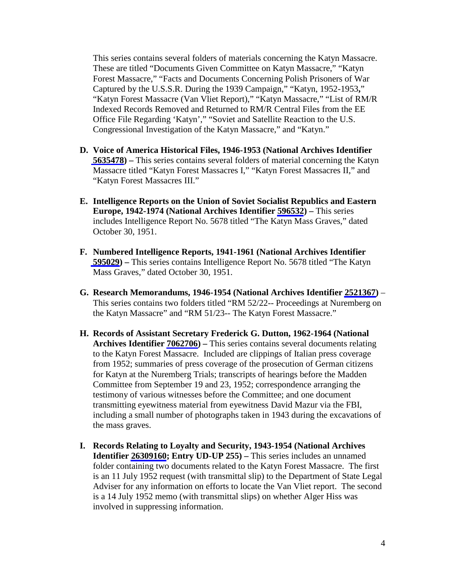This series contains several folders of materials concerning the Katyn Massacre. These are titled "Documents Given Committee on Katyn Massacre," "Katyn Forest Massacre," "Facts and Documents Concerning Polish Prisoners of War Captured by the U.S.S.R. During the 1939 Campaign," "Katyn, 1952-1953**,**" "Katyn Forest Massacre (Van Vliet Report)," "Katyn Massacre," "List of RM/R Indexed Records Removed and Returned to RM/R Central Files from the EE Office File Regarding 'Katyn'," "Soviet and Satellite Reaction to the U.S. Congressional Investigation of the Katyn Massacre," and "Katyn."

- **D. Voice of America Historical Files, 1946-1953 (National Archives Identifier [5635478](https://catalog.archives.gov/id/5635478)) –** This series contains several folders of material concerning the Katyn Massacre titled "Katyn Forest Massacres I," "Katyn Forest Massacres II," and "Katyn Forest Massacres III."
- **E. Intelligence Reports on the Union of Soviet Socialist Republics and Eastern Europe, 1942-1974 (National Archives Identifier [596532](https://catalog.archives.gov/id/596532)) –** This series includes Intelligence Report No. 5678 titled "The Katyn Mass Graves," dated October 30, 1951.
- **F. Numbered Intelligence Reports, 1941-1961 (National Archives Identifier [595029](https://catalog.archives.gov/id/595029)) –** This series contains Intelligence Report No. 5678 titled "The Katyn Mass Graves," dated October 30, 1951.
- **G. Research Memorandums, 1946-1954 (National Archives Identifier [2521367](https://catalog.archives.gov/id/2521367))**  This series contains two folders titled "RM 52/22-- Proceedings at Nuremberg on the Katyn Massacre" and "RM 51/23-- The Katyn Forest Massacre."
- **H. Records of Assistant Secretary Frederick G. Dutton, 1962-1964 (National Archives Identifier [7062706\)](https://catalog.archives.gov/id/7062706) –** This series contains several documents relating to the Katyn Forest Massacre. Included are clippings of Italian press coverage from 1952; summaries of press coverage of the prosecution of German citizens for Katyn at the Nuremberg Trials; transcripts of hearings before the Madden Committee from September 19 and 23, 1952; correspondence arranging the testimony of various witnesses before the Committee; and one document transmitting eyewitness material from eyewitness David Mazur via the FBI, including a small number of photographs taken in 1943 during the excavations of the mass graves.
- **I. Records Relating to Loyalty and Security, 1943-1954 (National Archives Identifier [26309160](https://catalog.archives.gov/id/26309160); Entry UD-UP 255) –** This series includes an unnamed folder containing two documents related to the Katyn Forest Massacre. The first is an 11 July 1952 request (with transmittal slip) to the Department of State Legal Adviser for any information on efforts to locate the Van Vliet report. The second is a 14 July 1952 memo (with transmittal slips) on whether Alger Hiss was involved in suppressing information.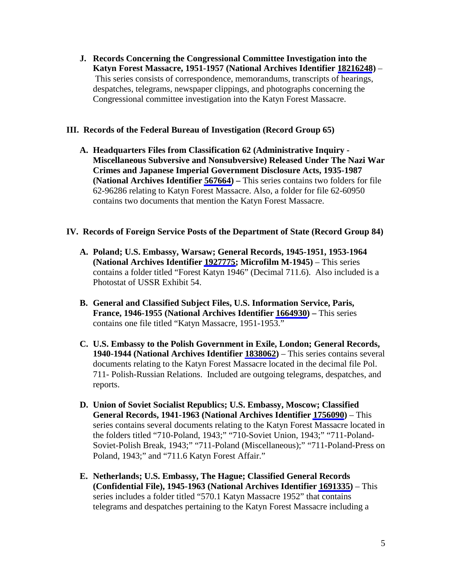**J. Records Concerning the Congressional Committee Investigation into the Katyn Forest Massacre, 1951-1957 (National Archives Identifier [18216248](https://catalog.archives.gov/id/18216248))** – This series consists of correspondence, memorandums, transcripts of hearings, despatches, telegrams, newspaper clippings, and photographs concerning the Congressional committee investigation into the Katyn Forest Massacre.

### **III. Records of the Federal Bureau of Investigation (Record Group 65)**

**A. Headquarters Files from Classification 62 (Administrative Inquiry - Miscellaneous Subversive and Nonsubversive) Released Under The Nazi War Crimes and Japanese Imperial Government Disclosure Acts, 1935-1987 (National Archives Identifier [567664\)](https://catalog.archives.gov/id/567664) –** This series contains two folders for file 62-96286 relating to Katyn Forest Massacre. Also, a folder for file 62-60950 contains two documents that mention the Katyn Forest Massacre.

### **IV. Records of Foreign Service Posts of the Department of State (Record Group 84)**

- **A. Poland; U.S. Embassy, Warsaw; General Records, 1945-1951, 1953-1964 (National Archives Identifier [1927775;](https://catalog.archives.gov/id/1927775) Microfilm M-1945)** – This series contains a folder titled "Forest Katyn 1946" (Decimal 711.6). Also included is a Photostat of USSR Exhibit 54.
- **B. General and Classified Subject Files, U.S. Information Service, Paris, France, 1946-1955 (National Archives Identifier [1664930\)](https://catalog.archives.gov/id/1664930) –** This series contains one file titled "Katyn Massacre, 1951-1953."
- **C. U.S. Embassy to the Polish Government in Exile, London; General Records, 1940-1944 (National Archives Identifier [1838062](https://catalog.archives.gov/id/1838062))** – This series contains several documents relating to the Katyn Forest Massacre located in the decimal file Pol. 711- Polish-Russian Relations. Included are outgoing telegrams, despatches, and reports.
- **D. Union of Soviet Socialist Republics; U.S. Embassy, Moscow; Classified General Records, 1941-1963 (National Archives Identifier [1756090](https://catalog.archives.gov/id/1756090))** – This series contains several documents relating to the Katyn Forest Massacre located in the folders titled "710-Poland, 1943;" "710-Soviet Union, 1943;" "711-Poland-Soviet-Polish Break, 1943;" "711-Poland (Miscellaneous);" "711-Poland-Press on Poland, 1943;" and "711.6 Katyn Forest Affair."
- **E. Netherlands; U.S. Embassy, The Hague; Classified General Records (Confidential File), 1945-1963 (National Archives Identifier [1691335\)](https://catalog.archives.gov/id/1691335)** – This series includes a folder titled "570.1 Katyn Massacre 1952" that contains telegrams and despatches pertaining to the Katyn Forest Massacre including a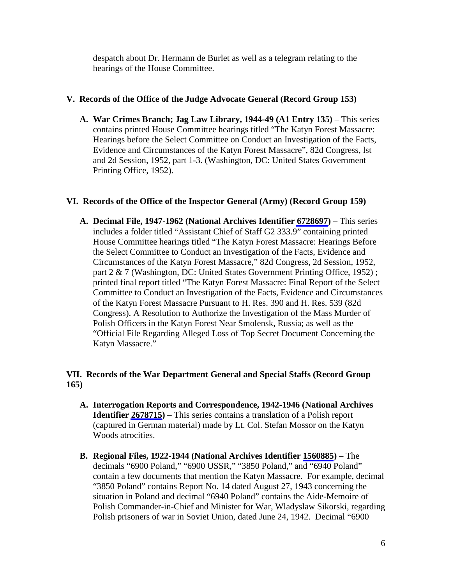despatch about Dr. Hermann de Burlet as well as a telegram relating to the hearings of the House Committee.

## **V. Records of the Office of the Judge Advocate General (Record Group 153)**

**A. War Crimes Branch; Jag Law Library, 1944-49 (A1 Entry 135)** – This series contains printed House Committee hearings titled "The Katyn Forest Massacre: Hearings before the Select Committee on Conduct an Investigation of the Facts, Evidence and Circumstances of the Katyn Forest Massacre", 82d Congress, lst and 2d Session, 1952, part 1-3. (Washington, DC: United States Government Printing Office, 1952).

## **VI. Records of the Office of the Inspector General (Army) (Record Group 159)**

**A. Decimal File, 1947-1962 (National Archives Identifier [6728697](https://catalog.archives.gov/id/6728697))** – This series includes a folder titled "Assistant Chief of Staff G2 333.9" containing printed House Committee hearings titled "The Katyn Forest Massacre: Hearings Before the Select Committee to Conduct an Investigation of the Facts, Evidence and Circumstances of the Katyn Forest Massacre," 82d Congress, 2d Session, 1952, part 2 & 7 (Washington, DC: United States Government Printing Office, 1952); printed final report titled "The Katyn Forest Massacre: Final Report of the Select Committee to Conduct an Investigation of the Facts, Evidence and Circumstances of the Katyn Forest Massacre Pursuant to H. Res. 390 and H. Res. 539 (82d Congress). A Resolution to Authorize the Investigation of the Mass Murder of Polish Officers in the Katyn Forest Near Smolensk, Russia; as well as the "Official File Regarding Alleged Loss of Top Secret Document Concerning the Katyn Massacre."

## **VII. Records of the War Department General and Special Staffs (Record Group 165)**

- **A. Interrogation Reports and Correspondence, 1942-1946 (National Archives Identifier [2678715](https://catalog.archives.gov/id/2678715))** – This series contains a translation of a Polish report (captured in German material) made by Lt. Col. Stefan Mossor on the Katyn Woods atrocities.
- **B. Regional Files, 1922-1944 (National Archives Identifier [1560885](https://catalog.archives.gov/id/1560885))** The decimals "6900 Poland," "6900 USSR," "3850 Poland," and "6940 Poland" contain a few documents that mention the Katyn Massacre. For example, decimal "3850 Poland" contains Report No. 14 dated August 27, 1943 concerning the situation in Poland and decimal "6940 Poland" contains the Aide-Memoire of Polish Commander-in-Chief and Minister for War, Wladyslaw Sikorski, regarding Polish prisoners of war in Soviet Union, dated June 24, 1942. Decimal "6900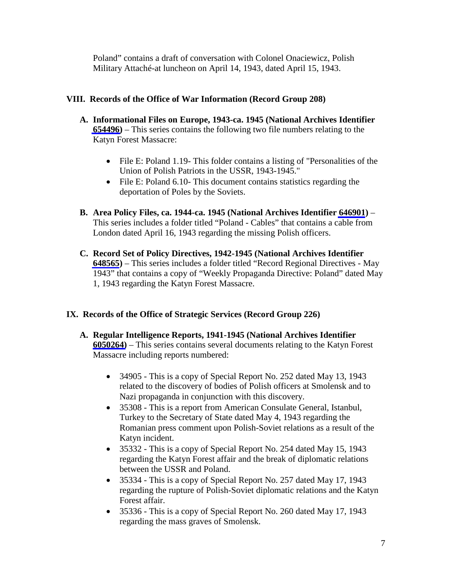Poland" contains a draft of conversation with Colonel Onaciewicz, Polish Military Attaché-at luncheon on April 14, 1943, dated April 15, 1943.

## **VIII. Records of the Office of War Information (Record Group 208)**

- **A. Informational Files on Europe, 1943-ca. 1945 (National Archives Identifier [654496](https://catalog.archives.gov/id/654496))** – This series contains the following two file numbers relating to the Katyn Forest Massacre:
	- File E: Poland 1.19- This folder contains a listing of "Personalities of the Union of Polish Patriots in the USSR, 1943-1945."
	- File E: Poland 6.10- This document contains statistics regarding the deportation of Poles by the Soviets.
- **B. Area Policy Files, ca. 1944-ca. 1945 (National Archives Identifier [646901](https://catalog.archives.gov/id/646901))** This series includes a folder titled "Poland - Cables" that contains a cable from London dated April 16, 1943 regarding the missing Polish officers.
- **C. Record Set of Policy Directives, 1942-1945 (National Archives Identifier [648565](https://catalog.archives.gov/id/648565))** – This series includes a folder titled "Record Regional Directives - May 1943" that contains a copy of "Weekly Propaganda Directive: Poland" dated May 1, 1943 regarding the Katyn Forest Massacre.

## **IX. Records of the Office of Strategic Services (Record Group 226)**

- **A. Regular Intelligence Reports, 1941-1945 (National Archives Identifier [6050264\)](https://catalog.archives.gov/id/6050264)** – This series contains several documents relating to the Katyn Forest Massacre including reports numbered:
	- 34905 This is a copy of Special Report No. 252 dated May 13, 1943 related to the discovery of bodies of Polish officers at Smolensk and to Nazi propaganda in conjunction with this discovery.
	- 35308 This is a report from American Consulate General, Istanbul, Turkey to the Secretary of State dated May 4, 1943 regarding the Romanian press comment upon Polish-Soviet relations as a result of the Katyn incident.
	- 35332 This is a copy of Special Report No. 254 dated May 15, 1943 regarding the Katyn Forest affair and the break of diplomatic relations between the USSR and Poland.
	- 35334 This is a copy of Special Report No. 257 dated May 17, 1943 regarding the rupture of Polish-Soviet diplomatic relations and the Katyn Forest affair.
	- 35336 This is a copy of Special Report No. 260 dated May 17, 1943 regarding the mass graves of Smolensk.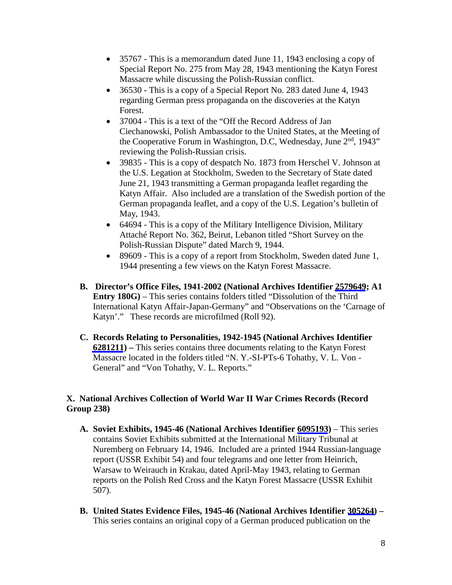- 35767 This is a memorandum dated June 11, 1943 enclosing a copy of Special Report No. 275 from May 28, 1943 mentioning the Katyn Forest Massacre while discussing the Polish-Russian conflict.
- 36530 This is a copy of a Special Report No. 283 dated June 4, 1943 regarding German press propaganda on the discoveries at the Katyn Forest.
- 37004 This is a text of the "Off the Record Address of Jan Ciechanowski, Polish Ambassador to the United States, at the Meeting of the Cooperative Forum in Washington, D.C, Wednesday, June 2<sup>nd</sup>, 1943" reviewing the Polish-Russian crisis.
- 39835 This is a copy of despatch No. 1873 from Herschel V. Johnson at the U.S. Legation at Stockholm, Sweden to the Secretary of State dated June 21, 1943 transmitting a German propaganda leaflet regarding the Katyn Affair. Also included are a translation of the Swedish portion of the German propaganda leaflet, and a copy of the U.S. Legation's bulletin of May, 1943.
- 64694 This is a copy of the Military Intelligence Division, Military Attaché Report No. 362, Beirut, Lebanon titled "Short Survey on the Polish-Russian Dispute" dated March 9, 1944.
- 89609 This is a copy of a report from Stockholm, Sweden dated June 1, 1944 presenting a few views on the Katyn Forest Massacre.
- **B. Director's Office Files, 1941-2002 (National Archives Identifier [2579649](https://catalog.archives.gov/id/2579649); A1 Entry 180G)** – This series contains folders titled "Dissolution of the Third International Katyn Affair-Japan-Germany" and "Observations on the 'Carnage of Katyn'." These records are microfilmed (Roll 92).
- **C. Records Relating to Personalities, 1942-1945 (National Archives Identifier [6281211](https://catalog.archives.gov/id/6281211)) –** This series contains three documents relating to the Katyn Forest Massacre located in the folders titled "N. Y.-SI-PTs-6 Tohathy, V. L. Von - General" and "Von Tohathy, V. L. Reports."

## **X. National Archives Collection of World War II War Crimes Records (Record Group 238)**

- **A. Soviet Exhibits, 1945-46 (National Archives Identifier [6095193](https://catalog.archives.gov/id/6095193))**  This series contains Soviet Exhibits submitted at the International Military Tribunal at Nuremberg on February 14, 1946. Included are a printed 1944 Russian-language report (USSR Exhibit 54) and four telegrams and one letter from Heinrich, Warsaw to Weirauch in Krakau, dated April-May 1943, relating to German reports on the Polish Red Cross and the Katyn Forest Massacre (USSR Exhibit 507).
- **B. United States Evidence Files, 1945-46 (National Archives Identifier [305264\)](https://catalog.archives.gov/id/305264)**  This series contains an original copy of a German produced publication on the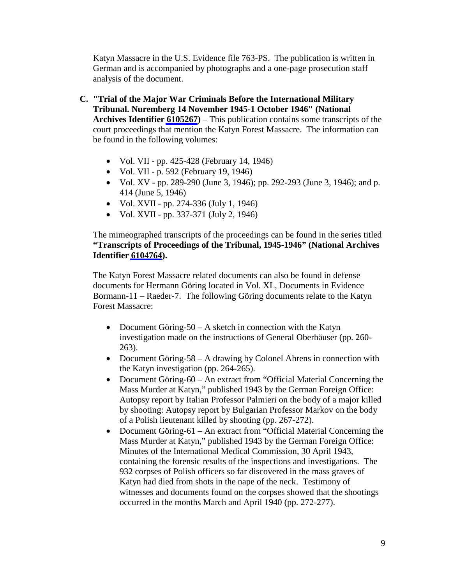Katyn Massacre in the U.S. Evidence file 763-PS. The publication is written in German and is accompanied by photographs and a one-page prosecution staff analysis of the document.

- **C. "Trial of the Major War Criminals Before the International Military Tribunal. Nuremberg 14 November 1945-1 October 1946" (National Archives Identifier [6105267\)](https://catalog.archives.gov/id/6105267)** – This publication contains some transcripts of the court proceedings that mention the Katyn Forest Massacre. The information can be found in the following volumes:
	- Vol. VII pp. 425-428 (February 14, 1946)
	- Vol. VII p. 592 (February 19, 1946)
	- Vol. XV pp. 289-290 (June 3, 1946); pp. 292-293 (June 3, 1946); and p. 414 (June 5, 1946)
	- Vol. XVII pp. 274-336 (July 1, 1946)
	- Vol. XVII pp. 337-371 (July 2, 1946)

The mimeographed transcripts of the proceedings can be found in the series titled **"Transcripts of Proceedings of the Tribunal, 1945-1946" (National Archives Identifier [6104764](https://catalog.archives.gov/id/6104764)).**

The Katyn Forest Massacre related documents can also be found in defense documents for Hermann Göring located in Vol. XL, Documents in Evidence Bormann-11 – Raeder-7. The following Göring documents relate to the Katyn Forest Massacre:

- Document Göring-50 A sketch in connection with the Katyn investigation made on the instructions of General Oberhäuser (pp. 260- 263).
- Document Göring-58 A drawing by Colonel Ahrens in connection with the Katyn investigation (pp. 264-265).
- Document Göring-60 An extract from "Official Material Concerning the Mass Murder at Katyn," published 1943 by the German Foreign Office: Autopsy report by Italian Professor Palmieri on the body of a major killed by shooting: Autopsy report by Bulgarian Professor Markov on the body of a Polish lieutenant killed by shooting (pp. 267-272).
- Document Göring-61 An extract from "Official Material Concerning the Mass Murder at Katyn," published 1943 by the German Foreign Office: Minutes of the International Medical Commission, 30 April 1943, containing the forensic results of the inspections and investigations. The 932 corpses of Polish officers so far discovered in the mass graves of Katyn had died from shots in the nape of the neck. Testimony of witnesses and documents found on the corpses showed that the shootings occurred in the months March and April 1940 (pp. 272-277).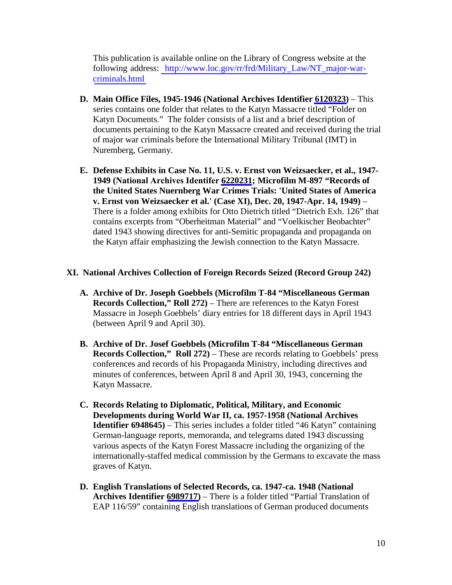This publication is available online on the Library of Congress website at the following address: [http://www.loc.gov/rr/frd/Military\\_Law/NT\\_major-war](http://www.loc.gov/rr/frd/Military_Law/NT_major-war-criminals.html)[criminals.html](http://www.loc.gov/rr/frd/Military_Law/NT_major-war-criminals.html)

- **D. Main Office Files, 1945-1946 (National Archives Identifier [6120323\)](https://catalog.archives.gov/id/6120323)** This series contains one folder that relates to the Katyn Massacre titled "Folder on Katyn Documents." The folder consists of a list and a brief description of documents pertaining to the Katyn Massacre created and received during the trial of major war criminals before the International Military Tribunal (IMT) in Nuremberg, Germany.
- **E. Defense Exhibits in Case No. 11, U.S. v. Ernst von Weizsaecker, et al., 1947- 1949 (National Archives Identifer [6220231](https://catalog.archives.gov/id/6220231); Microfilm M-897 "Records of the United States Nuernberg War Crimes Trials: 'United States of America v. Ernst von Weizsaecker et al.' (Case XI), Dec. 20, 1947-Apr. 14, 1949)** – There is a folder among exhibits for Otto Dietrich titled "Dietrich Exh. 126" that contains excerpts from "Oberheitman Material" and "Voelkischer Beobachter" dated 1943 showing directives for anti-Semitic propaganda and propaganda on the Katyn affair emphasizing the Jewish connection to the Katyn Massacre.

#### **XI. National Archives Collection of Foreign Records Seized (Record Group 242)**

- **A. Archive of Dr. Joseph Goebbels (Microfilm T-84 "Miscellaneous German Records Collection," Roll 272)** – There are references to the Katyn Forest Massacre in Joseph Goebbels' diary entries for 18 different days in April 1943 (between April 9 and April 30).
- **B. Archive of Dr. Josef Goebbels (Microfilm T-84 "Miscellaneous German Records Collection," Roll 272)** – These are records relating to Goebbels' press conferences and records of his Propaganda Ministry, including directives and minutes of conferences, between April 8 and April 30, 1943, concerning the Katyn Massacre.
- **C. Records Relating to Diplomatic, Political, Military, and Economic Developments during World War II, ca. 1957-1958 (National Archives Identifier 6948645**) – This series includes a folder titled "46 Katyn" containing German-language reports, memoranda, and telegrams dated 1943 discussing various aspects of the Katyn Forest Massacre including the organizing of the internationally-staffed medical commission by the Germans to excavate the mass graves of Katyn.
- **D. English Translations of Selected Records, ca. 1947-ca. 1948 (National Archives Identifier [6989717\)](https://catalog.archives.gov/id/6989717)** – There is a folder titled "Partial Translation of EAP 116/59" containing English translations of German produced documents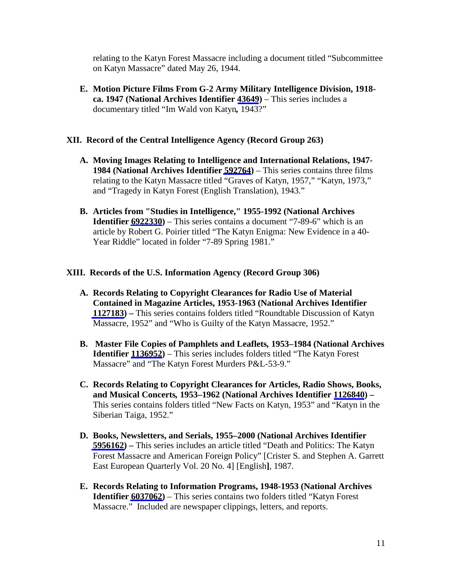relating to the Katyn Forest Massacre including a document titled "Subcommittee on Katyn Massacre" dated May 26, 1944.

**E. Motion Picture Films From G-2 Army Military Intelligence Division, 1918 ca. 1947 (National Archives Identifier [43649](https://catalog.archives.gov/id/43649))** – This series includes a documentary titled "Im Wald von Katyn*,* 1943?"

#### **XII. Record of the Central Intelligence Agency (Record Group 263)**

- **A. Moving Images Relating to Intelligence and International Relations, 1947- 1984 (National Archives Identifier [592764](https://catalog.archives.gov/id/592764))** – This series contains three films relating to the Katyn Massacre titled "Graves of Katyn, 1957," "Katyn, 1973," and "Tragedy in Katyn Forest (English Translation)*,* 1943."
- **B. Articles from "Studies in Intelligence," 1955-1992 (National Archives Identifier [6922330](https://catalog.archives.gov/id/6922330))** – This series contains a document "7-89-6" which is an article by Robert G. Poirier titled "The Katyn Enigma: New Evidence in a 40- Year Riddle" located in folder "7-89 Spring 1981."

#### **XIII. Records of the U.S. Information Agency (Record Group 306)**

- **A. Records Relating to Copyright Clearances for Radio Use of Material Contained in Magazine Articles, 1953-1963 (National Archives Identifier [1127183\)](https://catalog.archives.gov/id/1127183) –** This series contains folders titled "Roundtable Discussion of Katyn Massacre, 1952" and "Who is Guilty of the Katyn Massacre, 1952."
- **B. Master File Copies of Pamphlets and Leaflets***,* **1953–1984 (National Archives Identifier [1136952](https://catalog.archives.gov/id/1136952))** – This series includes folders titled "The Katyn Forest Massacre" and "The Katyn Forest Murders P&L-53-9."
- **C. Records Relating to Copyright Clearances for Articles, Radio Shows, Books, and Musical Concerts***,* **1953–1962 (National Archives Identifier [1126840](https://catalog.archives.gov/id/1126840)) –** This series contains folders titled "New Facts on Katyn, 1953" and "Katyn in the Siberian Taiga, 1952."
- **D. Books, Newsletters, and Serials, 1955–2000 (National Archives Identifier [5956162\)](https://catalog.archives.gov/id/5956162) –** This series includes an article titled "Death and Politics: The Katyn Forest Massacre and American Foreign Policy" [Crister S. and Stephen A. Garrett East European Quarterly Vol. 20 No. 4] [English**]**, 1987.
- **E. Records Relating to Information Programs, 1948-1953 (National Archives Identifier [6037062\)](https://catalog.archives.gov/id/6037062)** – This series contains two folders titled "Katyn Forest Massacre." Included are newspaper clippings, letters, and reports.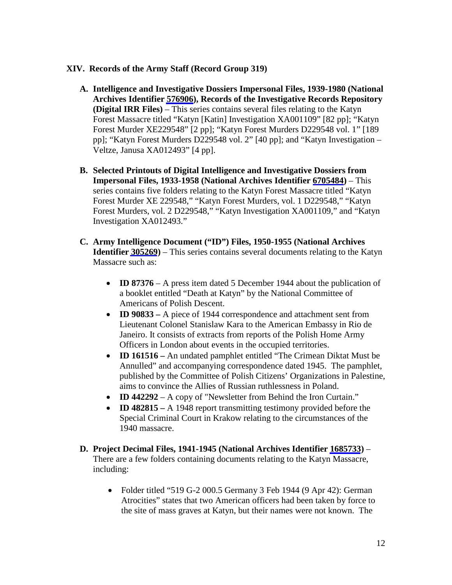### **XIV. Records of the Army Staff (Record Group 319)**

- **A. Intelligence and Investigative Dossiers Impersonal Files, 1939-1980 (National Archives Identifier [576906\)](https://catalog.archives.gov/id/576906), Records of the Investigative Records Repository (Digital IRR Files)** – This series contains several files relating to the Katyn Forest Massacre titled "Katyn [Katin] Investigation XA001109" [82 pp]; "Katyn Forest Murder XE229548" [2 pp]; "Katyn Forest Murders D229548 vol. 1" [189 pp]; "Katyn Forest Murders D229548 vol. 2" [40 pp]; and "Katyn Investigation – Veltze, Janusa XA012493" [4 pp].
- **B. Selected Printouts of Digital Intelligence and Investigative Dossiers from Impersonal Files, 1933-1958 (National Archives Identifier [6705484\)](https://catalog.archives.gov/id/6705484)** – This series contains five folders relating to the Katyn Forest Massacre titled "Katyn Forest Murder XE 229548," "Katyn Forest Murders, vol. 1 D229548," "Katyn Forest Murders, vol. 2 D229548," "Katyn Investigation XA001109," and "Katyn Investigation XA012493."
- **C. Army Intelligence Document ("ID") Files, 1950-1955 (National Archives Identifier [305269](https://catalog.archives.gov/id/305269))** – This series contains several documents relating to the Katyn Massacre such as:
	- **ID 87376** A press item dated 5 December 1944 about the publication of a booklet entitled "Death at Katyn" by the National Committee of Americans of Polish Descent.
	- **ID 90833** A piece of 1944 correspondence and attachment sent from Lieutenant Colonel Stanislaw Kara to the American Embassy in Rio de Janeiro. It consists of extracts from reports of the Polish Home Army Officers in London about events in the occupied territories.
	- **ID 161516 –** An undated pamphlet entitled "The Crimean Diktat Must be Annulled" and accompanying correspondence dated 1945. The pamphlet, published by the Committee of Polish Citizens' Organizations in Palestine, aims to convince the Allies of Russian ruthlessness in Poland.
	- **ID 442292** A copy of "Newsletter from Behind the Iron Curtain."
	- **ID 482815 –** A 1948 report transmitting testimony provided before the Special Criminal Court in Krakow relating to the circumstances of the 1940 massacre.
- **D. Project Decimal Files, 1941-1945 (National Archives Identifier [1685733](https://catalog.archives.gov/id/1685733))** There are a few folders containing documents relating to the Katyn Massacre, including:
	- Folder titled "519 G-2 000.5 Germany 3 Feb 1944 (9 Apr 42): German Atrocities" states that two American officers had been taken by force to the site of mass graves at Katyn, but their names were not known. The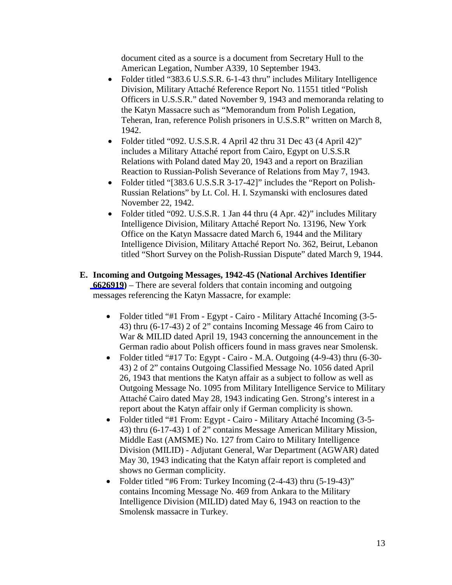document cited as a source is a document from Secretary Hull to the American Legation, Number A339, 10 September 1943.

- Folder titled "383.6 U.S.S.R. 6-1-43 thru" includes Military Intelligence Division, Military Attaché Reference Report No. 11551 titled "Polish Officers in U.S.S.R." dated November 9, 1943 and memoranda relating to the Katyn Massacre such as "Memorandum from Polish Legation, Teheran, Iran, reference Polish prisoners in U.S.S.R" written on March 8, 1942.
- Folder titled "092. U.S.S.R. 4 April 42 thru 31 Dec 43 (4 April 42)" includes a Military Attaché report from Cairo, Egypt on U.S.S.R Relations with Poland dated May 20, 1943 and a report on Brazilian Reaction to Russian-Polish Severance of Relations from May 7, 1943.
- Folder titled "[383.6 U.S.S.R 3-17-42]" includes the "Report on Polish-Russian Relations" by Lt. Col. H. I. Szymanski with enclosures dated November 22, 1942.
- Folder titled "092. U.S.S.R. 1 Jan 44 thru (4 Apr. 42)" includes Military Intelligence Division, Military Attaché Report No. 13196, New York Office on the Katyn Massacre dated March 6, 1944 and the Military Intelligence Division, Military Attaché Report No. 362, Beirut, Lebanon titled "Short Survey on the Polish-Russian Dispute" dated March 9, 1944.
- **E. Incoming and Outgoing Messages, 1942-45 (National Archives Identifier [6626919](https://catalog.archives.gov/id/6626919))** – There are several folders that contain incoming and outgoing messages referencing the Katyn Massacre, for example:
	- Folder titled "#1 From Egypt Cairo Military Attaché Incoming (3-5-43) thru (6-17-43) 2 of 2" contains Incoming Message 46 from Cairo to War & MILID dated April 19, 1943 concerning the announcement in the German radio about Polish officers found in mass graves near Smolensk.
	- Folder titled "#17 To: Egypt Cairo M.A. Outgoing (4-9-43) thru (6-30-43) 2 of 2" contains Outgoing Classified Message No. 1056 dated April 26, 1943 that mentions the Katyn affair as a subject to follow as well as Outgoing Message No. 1095 from Military Intelligence Service to Military Attaché Cairo dated May 28, 1943 indicating Gen. Strong's interest in a report about the Katyn affair only if German complicity is shown.
	- Folder titled "#1 From: Egypt Cairo Military Attaché Incoming (3-5-43) thru (6-17-43) 1 of 2" contains Message American Military Mission, Middle East (AMSME) No. 127 from Cairo to Military Intelligence Division (MILID) - Adjutant General, War Department (AGWAR) dated May 30, 1943 indicating that the Katyn affair report is completed and shows no German complicity.
	- Folder titled "#6 From: Turkey Incoming (2-4-43) thru (5-19-43)" contains Incoming Message No. 469 from Ankara to the Military Intelligence Division (MILID) dated May 6, 1943 on reaction to the Smolensk massacre in Turkey.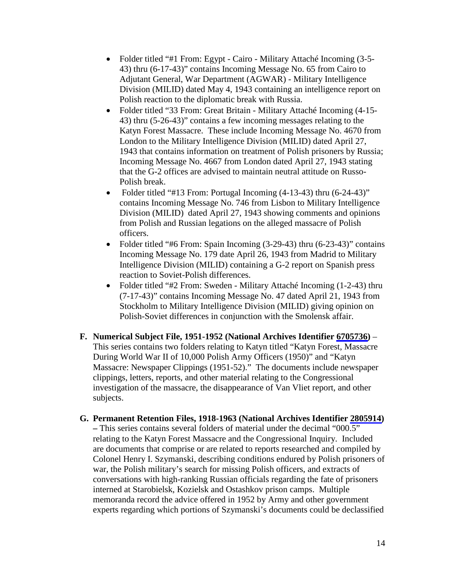- Folder titled "#1 From: Egypt Cairo Military Attaché Incoming (3-5-43) thru (6-17-43)" contains Incoming Message No. 65 from Cairo to Adjutant General, War Department (AGWAR) - Military Intelligence Division (MILID) dated May 4, 1943 containing an intelligence report on Polish reaction to the diplomatic break with Russia.
- Folder titled "33 From: Great Britain Military Attaché Incoming (4-15-43) thru (5-26-43)" contains a few incoming messages relating to the Katyn Forest Massacre. These include Incoming Message No. 4670 from London to the Military Intelligence Division (MILID) dated April 27, 1943 that contains information on treatment of Polish prisoners by Russia; Incoming Message No. 4667 from London dated April 27, 1943 stating that the G-2 offices are advised to maintain neutral attitude on Russo-Polish break.
- Folder titled "#13 From: Portugal Incoming (4-13-43) thru (6-24-43)" contains Incoming Message No. 746 from Lisbon to Military Intelligence Division (MILID) dated April 27, 1943 showing comments and opinions from Polish and Russian legations on the alleged massacre of Polish officers.
- Folder titled "#6 From: Spain Incoming (3-29-43) thru (6-23-43)" contains Incoming Message No. 179 date April 26, 1943 from Madrid to Military Intelligence Division (MILID) containing a G-2 report on Spanish press reaction to Soviet-Polish differences.
- Folder titled "#2 From: Sweden Military Attaché Incoming (1-2-43) thru (7-17-43)" contains Incoming Message No. 47 dated April 21, 1943 from Stockholm to Military Intelligence Division (MILID) giving opinion on Polish-Soviet differences in conjunction with the Smolensk affair.
- **F. Numerical Subject File, 1951-1952 (National Archives Identifier [6705736](https://catalog.archives.gov/id/6795736))** This series contains two folders relating to Katyn titled "Katyn Forest, Massacre During World War II of 10,000 Polish Army Officers (1950)" and "Katyn Massacre: Newspaper Clippings (1951-52)." The documents include newspaper clippings, letters, reports, and other material relating to the Congressional investigation of the massacre, the disappearance of Van Vliet report, and other subjects.
- **G. Permanent Retention Files, 1918-1963 (National Archives Identifier [2805914\)](https://catalog.archives.gov/id/2805914) –** This series contains several folders of material under the decimal "000.5" relating to the Katyn Forest Massacre and the Congressional Inquiry. Included are documents that comprise or are related to reports researched and compiled by Colonel Henry I. Szymanski, describing conditions endured by Polish prisoners of war, the Polish military's search for missing Polish officers, and extracts of conversations with high-ranking Russian officials regarding the fate of prisoners interned at Starobielsk, Kozielsk and Ostashkov prison camps. Multiple memoranda record the advice offered in 1952 by Army and other government experts regarding which portions of Szymanski's documents could be declassified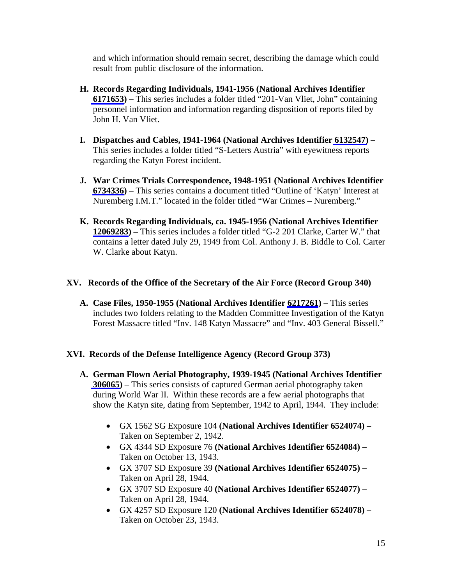and which information should remain secret, describing the damage which could result from public disclosure of the information.

- **H. Records Regarding Individuals, 1941-1956 (National Archives Identifier [6171653\)](https://catalog.archives.gov/id/6171653) –** This series includes a folder titled "201-Van Vliet, John" containing personnel information and information regarding disposition of reports filed by John H. Van Vliet.
- **I. Dispatches and Cables, 1941-1964 (National Archives Identifier [6132547\)](https://catalog.archives.gov/id/6132547) –** This series includes a folder titled "S-Letters Austria" with eyewitness reports regarding the Katyn Forest incident.
- **J. War Crimes Trials Correspondence, 1948-1951 (National Archives Identifier [6734336](https://catalog.archives.gov/id/6734336))** – This series contains a document titled "Outline of 'Katyn' Interest at Nuremberg I.M.T." located in the folder titled "War Crimes – Nuremberg."
- **K. Records Regarding Individuals, ca. 1945-1956 (National Archives Identifier [12069283\)](https://catalog.archives.gov/id/12069283) –** This series includes a folder titled "G-2 201 Clarke, Carter W." that contains a letter dated July 29, 1949 from Col. Anthony J. B. Biddle to Col. Carter W. Clarke about Katyn.

## **XV. Records of the Office of the Secretary of the Air Force (Record Group 340)**

**A. Case Files, 1950-1955 (National Archives Identifier [6217261](https://catalog.archives.gov/id/6217261))** – This series includes two folders relating to the Madden Committee Investigation of the Katyn Forest Massacre titled "Inv. 148 Katyn Massacre" and "Inv. 403 General Bissell."

## **XVI. Records of the Defense Intelligence Agency (Record Group 373)**

- **A. German Flown Aerial Photography, 1939-1945 (National Archives Identifier [306065\)](https://catalog.archives.gov/id/306065)** – This series consists of captured German aerial photography taken during World War II. Within these records are a few aerial photographs that show the Katyn site, dating from September, 1942 to April, 1944. They include:
	- GX 1562 SG Exposure 104 **(National Archives Identifier 6524074)** Taken on September 2, 1942.
	- GX 4344 SD Exposure 76 **(National Archives Identifier 6524084)** Taken on October 13, 1943.
	- GX 3707 SD Exposure 39 **(National Archives Identifier 6524075)** Taken on April 28, 1944.
	- GX 3707 SD Exposure 40 **(National Archives Identifier 6524077)** Taken on April 28, 1944.
	- GX 4257 SD Exposure 120 **(National Archives Identifier 6524078) –** Taken on October 23, 1943.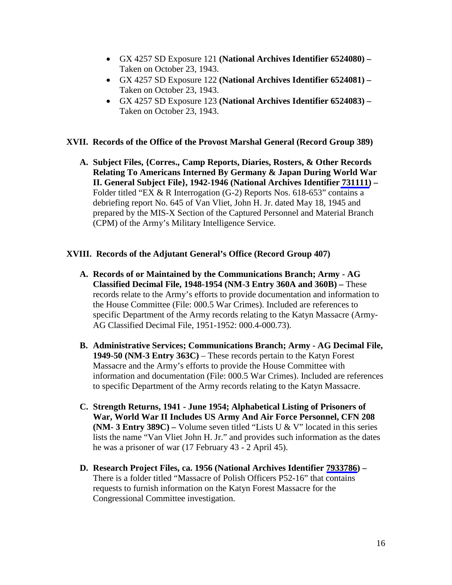- GX 4257 SD Exposure 121 **(National Archives Identifier 6524080) –** Taken on October 23, 1943.
- GX 4257 SD Exposure 122 **(National Archives Identifier 6524081) –** Taken on October 23, 1943.
- GX 4257 SD Exposure 123 **(National Archives Identifier 6524083) –** Taken on October 23, 1943.

#### **XVII. Records of the Office of the Provost Marshal General (Record Group 389)**

**A. Subject Files, {Corres., Camp Reports, Diaries, Rosters, & Other Records Relating To Americans Interned By Germany & Japan During World War II. General Subject File}, 1942-1946 (National Archives Identifier [731111\)](https://catalog.archives.gov/id/731111) –** Folder titled "EX & R Interrogation (G-2) Reports Nos. 618-653" contains a debriefing report No. 645 of Van Vliet, John H. Jr. dated May 18, 1945 and prepared by the MIS-X Section of the Captured Personnel and Material Branch (CPM) of the Army's Military Intelligence Service.

#### **XVIII. Records of the Adjutant General's Office (Record Group 407)**

- **A. Records of or Maintained by the Communications Branch; Army - AG Classified Decimal File, 1948-1954 (NM-3 Entry 360A and 360B) –** These records relate to the Army's efforts to provide documentation and information to the House Committee (File: 000.5 War Crimes). Included are references to specific Department of the Army records relating to the Katyn Massacre (Army-AG Classified Decimal File, 1951-1952: 000.4-000.73).
- **B. Administrative Services; Communications Branch; Army - AG Decimal File, 1949-50 (NM-3 Entry 363C)** – These records pertain to the Katyn Forest Massacre and the Army's efforts to provide the House Committee with information and documentation (File: 000.5 War Crimes). Included are references to specific Department of the Army records relating to the Katyn Massacre.
- **C. Strength Returns, 1941 - June 1954; Alphabetical Listing of Prisoners of War, World War II Includes US Army And Air Force Personnel, CFN 208 (NM- 3 Entry 389C) –** Volume seven titled "Lists U & V" located in this series lists the name "Van Vliet John H. Jr." and provides such information as the dates he was a prisoner of war (17 February 43 - 2 April 45).
- **D. Research Project Files, ca. 1956 (National Archives Identifier [7933786\)](https://catalog.archives.gov/id/7933786) –** There is a folder titled "Massacre of Polish Officers P52-16" that contains requests to furnish information on the Katyn Forest Massacre for the Congressional Committee investigation.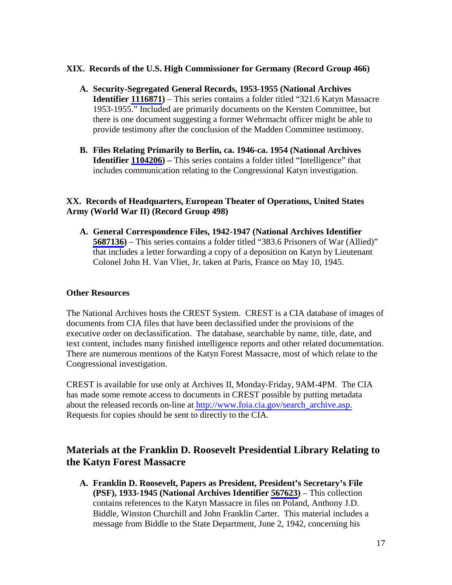### **XIX. Records of the U.S. High Commissioner for Germany (Record Group 466)**

- **A. Security-Segregated General Records, 1953-1955 (National Archives Identifier [1116871\)](https://catalog.archives.gov/id/1116871)** – This series contains a folder titled "321.6 Katyn Massacre 1953-1955." Included are primarily documents on the Kersten Committee, but there is one document suggesting a former Wehrmacht officer might be able to provide testimony after the conclusion of the Madden Committee testimony.
- **B. Files Relating Primarily to Berlin, ca. 1946-ca. 1954 (National Archives Identifier [1104206\)](https://catalog.archives.gov/id/1104206) –** This series contains a folder titled "Intelligence" that includes communication relating to the Congressional Katyn investigation.

## **XX. Records of Headquarters, European Theater of Operations, United States Army (World War II) (Record Group 498)**

**A. General Correspondence Files, 1942-1947 (National Archives Identifier [5687136](https://catalog.archives.gov/id/5687136))** – This series contains a folder titled "383.6 Prisoners of War (Allied)" that includes a letter forwarding a copy of a deposition on Katyn by Lieutenant Colonel John H. Van Vliet, Jr. taken at Paris, France on May 10, 1945.

### **Other Resources**

The National Archives hosts the CREST System. CREST is a CIA database of images of documents from CIA files that have been declassified under the provisions of the executive order on declassification. The database, searchable by name, title, date, and text content, includes many finished intelligence reports and other related documentation. There are numerous mentions of the Katyn Forest Massacre, most of which relate to the Congressional investigation.

CREST is available for use only at Archives II, Monday-Friday, 9AM-4PM. The CIA has made some remote access to documents in CREST possible by putting metadata about the released records on-line at [http://www.foia.cia.gov/search\\_archive.asp.](http://www.foia.cia.gov/search_archive.asp) Requests for copies should be sent to directly to the CIA.

# **Materials at the Franklin D. Roosevelt Presidential Library Relating to the Katyn Forest Massacre**

**A. Franklin D. Roosevelt, Papers as President, President's Secretary's File (PSF), 1933-1945 (National Archives Identifier [567623\)](https://catalog.archives.gov/id/567623)** – This collection contains references to the Katyn Massacre in files on Poland, Anthony J.D. Biddle, Winston Churchill and John Franklin Carter. This material includes a message from Biddle to the State Department, June 2, 1942, concerning his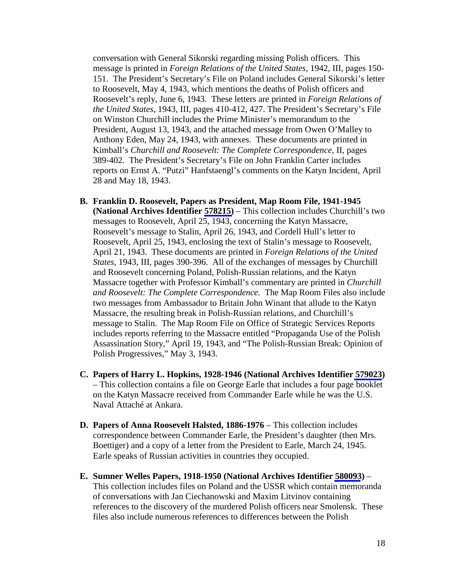conversation with General Sikorski regarding missing Polish officers. This message is printed in *Foreign Relations of the United States,* 1942, III, pages 150- 151. The President's Secretary's File on Poland includes General Sikorski's letter to Roosevelt, May 4, 1943, which mentions the deaths of Polish officers and Roosevelt's reply, June 6, 1943. These letters are printed in *Foreign Relations of the United States,* 1943, III, pages 410-412, 427. The President's Secretary's File on Winston Churchill includes the Prime Minister's memorandum to the President, August 13, 1943, and the attached message from Owen O'Malley to Anthony Eden, May 24, 1943, with annexes. These documents are printed in Kimball's *Churchill and Roosevelt: The Complete Correspondence*, II, pages 389-402. The President's Secretary's File on John Franklin Carter includes reports on Ernst A. "Putzi" Hanfstaengl's comments on the Katyn Incident, April 28 and May 18, 1943.

- **B. Franklin D. Roosevelt, Papers as President, Map Room File, 1941-1945 (National Archives Identifier [578215\)](https://catalog.archives.gov/id/578215)** – This collection includes Churchill's two messages to Roosevelt, April 25, 1943, concerning the Katyn Massacre, Roosevelt's message to Stalin, April 26, 1943, and Cordell Hull's letter to Roosevelt, April 25, 1943, enclosing the text of Stalin's message to Roosevelt, April 21, 1943. These documents are printed in *Foreign Relations of the United States,* 1943, III, pages 390-396. All of the exchanges of messages by Churchill and Roosevelt concerning Poland, Polish-Russian relations, and the Katyn Massacre together with Professor Kimball's commentary are printed in *Churchill and Roosevelt: The Complete Correspondence.* The Map Room Files also include two messages from Ambassador to Britain John Winant that allude to the Katyn Massacre, the resulting break in Polish-Russian relations, and Churchill's message to Stalin. The Map Room File on Office of Strategic Services Reports includes reports referring to the Massacre entitled "Propaganda Use of the Polish Assassination Story," April 19, 1943, and "The Polish-Russian Break: Opinion of Polish Progressives," May 3, 1943.
- **C. Papers of Harry L. Hopkins, 1928-1946 (National Archives Identifier [579023](https://catalog.archives.gov/id/579023))** – This collection contains a file on George Earle that includes a four page booklet on the Katyn Massacre received from Commander Earle while he was the U.S. Naval Attaché at Ankara.
- **D. Papers of Anna Roosevelt Halsted, 1886-1976** This collection includes correspondence between Commander Earle, the President's daughter (then Mrs. Boettiger) and a copy of a letter from the President to Earle, March 24, 1945. Earle speaks of Russian activities in countries they occupied.
- **E. Sumner Welles Papers, 1918-1950 (National Archives Identifier [580093](https://catalog.archives.gov/id/580093))** This collection includes files on Poland and the USSR which contain memoranda of conversations with Jan Ciechanowski and Maxim Litvinov containing references to the discovery of the murdered Polish officers near Smolensk. These files also include numerous references to differences between the Polish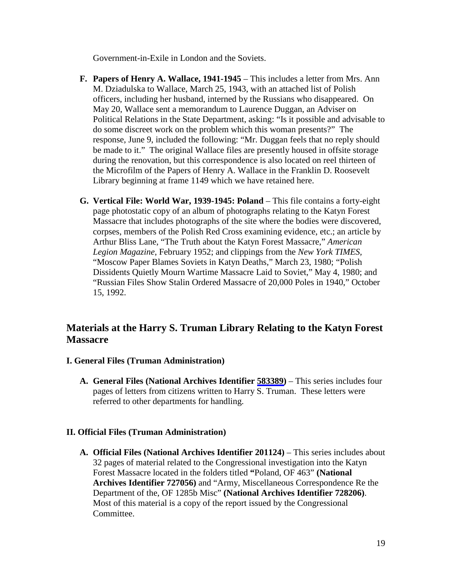Government-in-Exile in London and the Soviets.

- **F. Papers of Henry A. Wallace, 1941-1945** This includes a letter from Mrs. Ann M. Dziadulska to Wallace, March 25, 1943, with an attached list of Polish officers, including her husband, interned by the Russians who disappeared. On May 20, Wallace sent a memorandum to Laurence Duggan, an Adviser on Political Relations in the State Department, asking: "Is it possible and advisable to do some discreet work on the problem which this woman presents?" The response, June 9, included the following: "Mr. Duggan feels that no reply should be made to it." The original Wallace files are presently housed in offsite storage during the renovation, but this correspondence is also located on reel thirteen of the Microfilm of the Papers of Henry A. Wallace in the Franklin D. Roosevelt Library beginning at frame 1149 which we have retained here.
- **G. Vertical File: World War, 1939-1945: Poland** This file contains a forty-eight page photostatic copy of an album of photographs relating to the Katyn Forest Massacre that includes photographs of the site where the bodies were discovered, corpses, members of the Polish Red Cross examining evidence, etc.; an article by Arthur Bliss Lane, "The Truth about the Katyn Forest Massacre," *American Legion Magazine*, February 1952; and clippings from the *New York TIMES,*  "Moscow Paper Blames Soviets in Katyn Deaths," March 23, 1980; "Polish Dissidents Quietly Mourn Wartime Massacre Laid to Soviet," May 4, 1980; and "Russian Files Show Stalin Ordered Massacre of 20,000 Poles in 1940," October 15, 1992.

# **Materials at the Harry S. Truman Library Relating to the Katyn Forest Massacre**

## **I. General Files (Truman Administration)**

**A. General Files (National Archives Identifier [583389\)](https://catalog.archives.gov/id/583389)** – This series includes four pages of letters from citizens written to Harry S. Truman. These letters were referred to other departments for handling.

#### **II. Official Files (Truman Administration)**

**A. Official Files (National Archives Identifier 201124)** – This series includes about 32 pages of material related to the Congressional investigation into the Katyn Forest Massacre located in the folders titled **"**Poland, OF 463" **(National Archives Identifier 727056)** and "Army, Miscellaneous Correspondence Re the Department of the, OF 1285b Misc" **(National Archives Identifier 728206)**. Most of this material is a copy of the report issued by the Congressional Committee.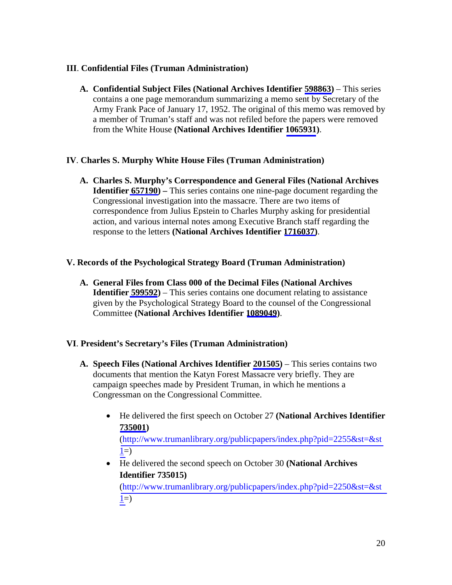## **III**. **Confidential Files (Truman Administration)**

**A. Confidential Subject Files (National Archives Identifier [598863\)](https://catalog.archives.gov/id/598863)** – This series contains a one page memorandum summarizing a memo sent by Secretary of the Army Frank Pace of January 17, 1952. The original of this memo was removed by a member of Truman's staff and was not refiled before the papers were removed from the White House **(National Archives Identifier [1065931](https://catalog.archives.gov/id/1065931))**.

### **IV**. **Charles S. Murphy White House Files (Truman Administration)**

**A. Charles S. Murphy's Correspondence and General Files (National Archives Identifier [657190\)](https://catalog.archives.gov/id/657190) –** This series contains one nine-page document regarding the Congressional investigation into the massacre. There are two items of correspondence from Julius Epstein to Charles Murphy asking for presidential action, and various internal notes among Executive Branch staff regarding the response to the letters **(National Archives Identifier [1716037\)](https://catalog.archives.gov/id/1716037)**.

### **V. Records of the Psychological Strategy Board (Truman Administration)**

**A. General Files from Class 000 of the Decimal Files (National Archives Identifier [599592](https://catalog.archives.gov/id/599592))** – This series contains one document relating to assistance given by the Psychological Strategy Board to the counsel of the Congressional Committee **(National Archives Identifier [1089049](https://catalog.archives.gov/id/1089049))**.

#### **VI**. **President's Secretary's Files (Truman Administration)**

- **A. Speech Files (National Archives Identifier [201505\)](https://catalog.archives.gov/id/201505)**  This series contains two documents that mention the Katyn Forest Massacre very briefly. They are campaign speeches made by President Truman, in which he mentions a Congressman on the Congressional Committee.
	- He delivered the first speech on October 27 **(National Archives Identifier [735001](https://catalog.archives.gov/id/735001))**

[\(http://www.trumanlibrary.org/publicpapers/index.php?pid=2255&st=&st](http://www.trumanlibrary.org/publicpapers/index.php?pid=2255&st=&st1)  $1=$ 

• He delivered the second speech on October 30 **(National Archives Identifier 735015)**

[\(http://www.trumanlibrary.org/publicpapers/index.php?pid=2250&st=&st](http://www.trumanlibrary.org/publicpapers/index.php?pid=2250&st=&st1)  $1=$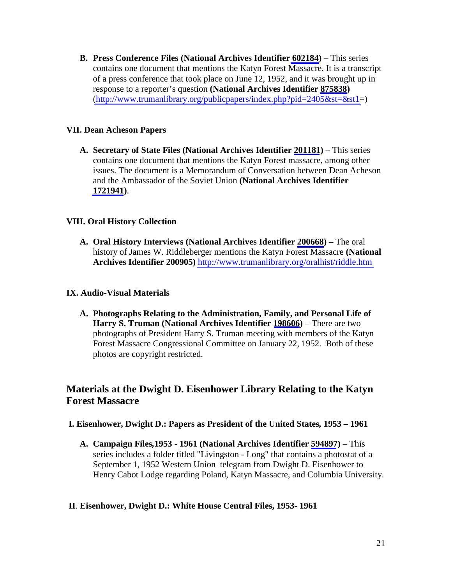**B. Press Conference Files (National Archives Identifier [602184\)](https://catalog.archives.gov/id/602184) –** This series contains one document that mentions the Katyn Forest Massacre. It is a transcript of a press conference that took place on June 12, 1952, and it was brought up in response to a reporter's question **(National Archives Identifier [875838](https://catalog.archives.gov/id/875838))**   $(\text{http://www.trumanlibrary.org/public papers/index.php?pid=2405&st=&st1=)$ 

## **VII. Dean Acheson Papers**

**A. Secretary of State Files (National Archives Identifier [201181](https://catalog.archives.gov/id/201181))** – This series contains one document that mentions the Katyn Forest massacre, among other issues. The document is a Memorandum of Conversation between Dean Acheson and the Ambassador of the Soviet Union **(National Archives Identifier [1721941](https://catalog.archives.gov/id/1721941))**.

### **VIII. Oral History Collection**

**A. Oral History Interviews (National Archives Identifier [200668\)](https://catalog.archives.gov/id/200668) –** The oral history of James W. Riddleberger mentions the Katyn Forest Massacre **(National Archives Identifier 200905)** <http://www.trumanlibrary.org/oralhist/riddle.htm>

#### **IX. Audio-Visual Materials**

**A. Photographs Relating to the Administration, Family, and Personal Life of Harry S. Truman (National Archives Identifier [198606](https://catalog.archives.gov/id/198606))** – There are two photographs of President Harry S. Truman meeting with members of the Katyn Forest Massacre Congressional Committee on January 22, 1952. Both of these photos are copyright restricted.

# **Materials at the Dwight D. Eisenhower Library Relating to the Katyn Forest Massacre**

- **I. Eisenhower, Dwight D.: Papers as President of the United States***,* **1953 1961**
	- **A. Campaign Files***,***1953 1961 (National Archives Identifier [594897](https://catalog.archives.gov/id/594897))** This series includes a folder titled "Livingston - Long" that contains a photostat of a September 1, 1952 Western Union telegram from Dwight D. Eisenhower to Henry Cabot Lodge regarding Poland, Katyn Massacre, and Columbia University.

#### **II**. **Eisenhower, Dwight D.: White House Central Files, 1953- 1961**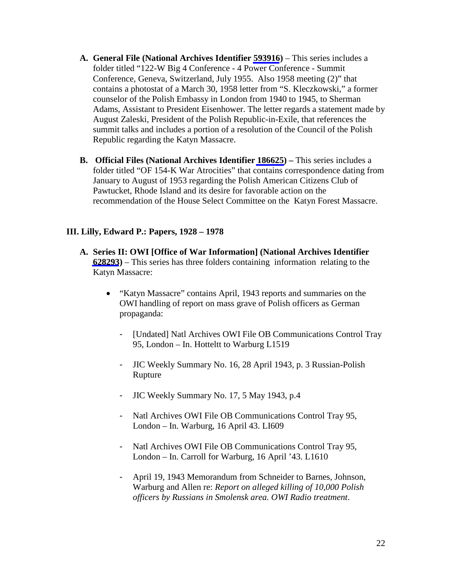- **A. General File (National Archives Identifier [593916](https://catalog.archives.gov/id/593916))**  This series includes a folder titled "122-W Big 4 Conference - 4 Power Conference - Summit Conference, Geneva, Switzerland, July 1955. Also 1958 meeting (2)" that contains a photostat of a March 30, 1958 letter from "S. Kleczkowski," a former counselor of the Polish Embassy in London from 1940 to 1945, to Sherman Adams, Assistant to President Eisenhower. The letter regards a statement made by August Zaleski, President of the Polish Republic-in-Exile, that references the summit talks and includes a portion of a resolution of the Council of the Polish Republic regarding the Katyn Massacre.
- **B. Official Files (National Archives Identifier [186625\)](https://catalog.archives.gov/id/186625) –** This series includes a folder titled "OF 154-K War Atrocities" that contains correspondence dating from January to August of 1953 regarding the Polish American Citizens Club of Pawtucket, Rhode Island and its desire for favorable action on the recommendation of the House Select Committee on the Katyn Forest Massacre.

## **III. Lilly, Edward P.: Papers, 1928 – 1978**

- **A. Series II: OWI [Office of War Information] (National Archives Identifier [628293](https://catalog.archives.gov/id/628293))** – This series has three folders containing information relating to the Katyn Massacre:
	- "Katyn Massacre" contains April, 1943 reports and summaries on the OWI handling of report on mass grave of Polish officers as German propaganda:
		- [Undated] Natl Archives OWI File OB Communications Control Tray 95, London – In. Hotteltt to Warburg L1519
		- JIC Weekly Summary No. 16, 28 April 1943, p. 3 Russian-Polish Rupture
		- JIC Weekly Summary No. 17, 5 May 1943, p.4
		- Natl Archives OWI File OB Communications Control Tray 95, London – In. Warburg, 16 April 43. LI609
		- Natl Archives OWI File OB Communications Control Tray 95, London – In. Carroll for Warburg, 16 April '43. L1610
		- April 19, 1943 Memorandum from Schneider to Barnes, Johnson, Warburg and Allen re: *Report on alleged killing of 10,000 Polish officers by Russians in Smolensk area. OWI Radio treatment*.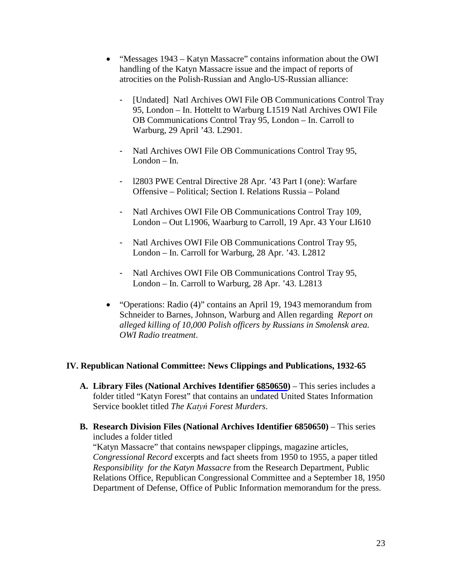- "Messages 1943 Katyn Massacre" contains information about the OWI handling of the Katyn Massacre issue and the impact of reports of atrocities on the Polish-Russian and Anglo-US-Russian alliance:
	- [Undated] Natl Archives OWI File OB Communications Control Tray 95, London – In. Hotteltt to Warburg L1519 Natl Archives OWI File OB Communications Control Tray 95, London – In. Carroll to Warburg, 29 April '43. L2901.
	- Natl Archives OWI File OB Communications Control Tray 95, London – In.
	- l2803 PWE Central Directive 28 Apr. '43 Part I (one): Warfare Offensive – Political; Section I. Relations Russia – Poland
	- Natl Archives OWI File OB Communications Control Tray 109, London – Out L1906, Waarburg to Carroll, 19 Apr. 43 Your LI610
	- Natl Archives OWI File OB Communications Control Tray 95, London – In. Carroll for Warburg, 28 Apr. '43. L2812
	- Natl Archives OWI File OB Communications Control Tray 95, London – In. Carroll to Warburg, 28 Apr. '43. L2813
- "Operations: Radio (4)" contains an April 19, 1943 memorandum from Schneider to Barnes, Johnson, Warburg and Allen regarding *Report on alleged killing of 10,000 Polish officers by Russians in Smolensk area. OWI Radio treatment*.

## **IV. Republican National Committee: News Clippings and Publications, 1932-65**

- **A. Library Files (National Archives Identifier [6850650](https://catalog.archives.gov/id/6850650))**  This series includes a folder titled "Katyn Forest" that contains an undated United States Information Service booklet titled *The Katyń Forest Murders*.
- **B. Research Division Files (National Archives Identifier 6850650)**  This series includes a folder titled "Katyn Massacre" that contains newspaper clippings, magazine articles, *Congressional Record* excerpts and fact sheets from 1950 to 1955, a paper titled *Responsibility for the Katyn Massacre* from the Research Department, Public Relations Office, Republican Congressional Committee and a September 18, 1950 Department of Defense, Office of Public Information memorandum for the press.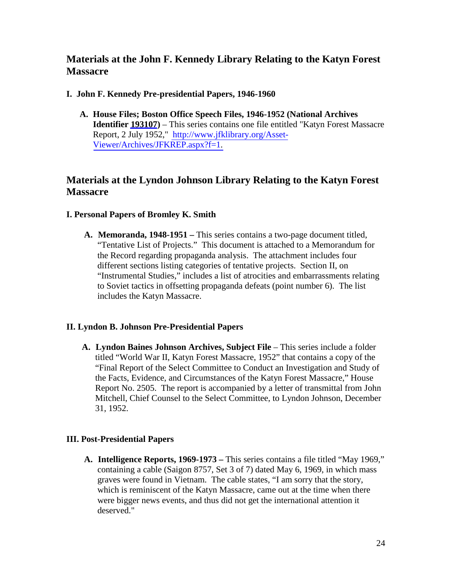# **Materials at the John F. Kennedy Library Relating to the Katyn Forest Massacre**

### **I. John F. Kennedy Pre-presidential Papers, 1946-1960**

**A. House Files; Boston Office Speech Files, 1946-1952 (National Archives Identifier [193107](https://catalog.archives.gov/id/193107))** – This series contains one file entitled "Katyn Forest Massacre Report, 2 July 1952," [http://www.jfklibrary.org/Asset-](http://www.jfklibrary.org/Asset-Viewer/Archives/JFKREP.aspx?f=1)[Viewer/Archives/JFKREP.aspx?f=1.](http://www.jfklibrary.org/Asset-Viewer/Archives/JFKREP.aspx?f=1) 

# **Materials at the Lyndon Johnson Library Relating to the Katyn Forest Massacre**

### **I. Personal Papers of Bromley K. Smith**

**A. Memoranda, 1948-1951 –** This series contains a two-page document titled, "Tentative List of Projects." This document is attached to a Memorandum for the Record regarding propaganda analysis. The attachment includes four different sections listing categories of tentative projects. Section II, on "Instrumental Studies," includes a list of atrocities and embarrassments relating to Soviet tactics in offsetting propaganda defeats (point number 6). The list includes the Katyn Massacre.

## **II. Lyndon B. Johnson Pre-Presidential Papers**

**A. Lyndon Baines Johnson Archives, Subject File** – This series include a folder titled "World War II, Katyn Forest Massacre, 1952" that contains a copy of the "Final Report of the Select Committee to Conduct an Investigation and Study of the Facts, Evidence, and Circumstances of the Katyn Forest Massacre," House Report No. 2505. The report is accompanied by a letter of transmittal from John Mitchell, Chief Counsel to the Select Committee, to Lyndon Johnson, December 31, 1952.

#### **III. Post-Presidential Papers**

**A. Intelligence Reports, 1969-1973 –** This series contains a file titled "May 1969," containing a cable (Saigon 8757, Set 3 of 7) dated May 6, 1969, in which mass graves were found in Vietnam. The cable states, "I am sorry that the story, which is reminiscent of the Katyn Massacre, came out at the time when there were bigger news events, and thus did not get the international attention it deserved."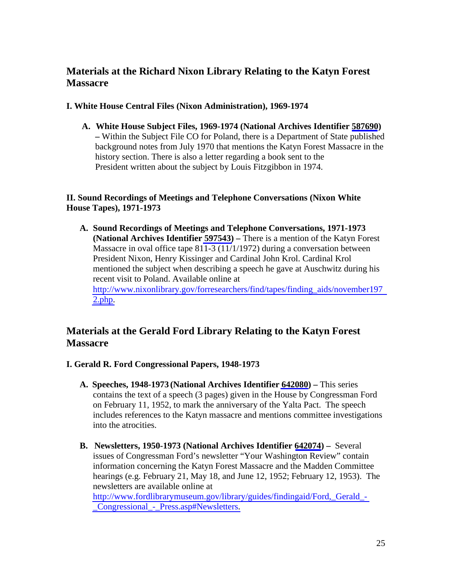# **Materials at the Richard Nixon Library Relating to the Katyn Forest Massacre**

### **I. White House Central Files (Nixon Administration), 1969-1974**

**A. White House Subject Files, 1969-1974 (National Archives Identifier [587690](https://catalog.archives.gov/id/587690)) –** Within the Subject File CO for Poland, there is a Department of State published background notes from July 1970 that mentions the Katyn Forest Massacre in the history section. There is also a letter regarding a book sent to the President written about the subject by Louis Fitzgibbon in 1974.

## **II. Sound Recordings of Meetings and Telephone Conversations (Nixon White House Tapes), 1971-1973**

**A. Sound Recordings of Meetings and Telephone Conversations, 1971-1973 (National Archives Identifier [597543\)](https://catalog.archives.gov/id/597543) –** There is a mention of the Katyn Forest Massacre in oval office tape 811-3 (11/1/1972) during a conversation between President Nixon, Henry Kissinger and Cardinal John Krol. Cardinal Krol mentioned the subject when describing a speech he gave at Auschwitz during his recent visit to Poland. Available online at [http://www.nixonlibrary.gov/forresearchers/find/tapes/finding\\_aids/november197](http://www.nixonlibrary.gov/forresearchers/find/tapes/finding_aids/november1972.php)  $2.$ [php.](http://www.nixonlibrary.gov/forresearchers/find/tapes/finding_aids/november1972.php)

# **Materials at the Gerald Ford Library Relating to the Katyn Forest Massacre**

- **I. Gerald R. Ford Congressional Papers, 1948-1973** 
	- **A. Speeches, 1948-1973 (National Archives Identifier [642080\)](https://catalog.archives.gov/id/642080)** This series contains the text of a speech (3 pages) given in the House by Congressman Ford on February 11, 1952, to mark the anniversary of the Yalta Pact. The speech includes references to the Katyn massacre and mentions committee investigations into the atrocities.
	- **B. Newsletters, 1950-1973 (National Archives Identifier [642074](https://catalog.archives.gov/id/642074))** Several issues of Congressman Ford's newsletter "Your Washington Review" contain information concerning the Katyn Forest Massacre and the Madden Committee hearings (e.g. February 21, May 18, and June 12, 1952; February 12, 1953). The newsletters are available online at

[http://www.fordlibrarymuseum.gov/library/guides/findingaid/Ford,\\_Gerald\\_-](http://www.fordlibrarymuseum.gov/library/guides/findingaid/Ford,_Gerald_-_Congressional_-_Press.asp#Newsletters) [\\_Congressional\\_-\\_Press.asp#Newsletters.](http://www.fordlibrarymuseum.gov/library/guides/findingaid/Ford,_Gerald_-_Congressional_-_Press.asp#Newsletters)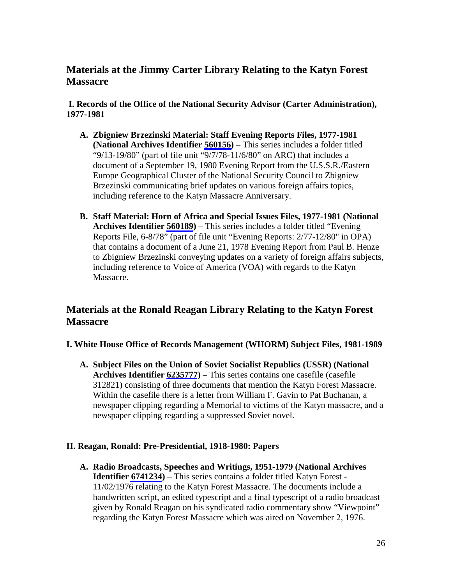# **Materials at the Jimmy Carter Library Relating to the Katyn Forest Massacre**

**I. Records of the Office of the National Security Advisor (Carter Administration), 1977-1981**

- **A. Zbigniew Brzezinski Material: Staff Evening Reports Files, 1977-1981 (National Archives Identifier [560156\)](https://catalog.archives.gov/id/560156)** – This series includes a folder titled "9/13-19/80" (part of file unit "9/7/78-11/6/80" on ARC) that includes a document of a September 19, 1980 Evening Report from the U.S.S.R./Eastern Europe Geographical Cluster of the National Security Council to Zbigniew Brzezinski communicating brief updates on various foreign affairs topics, including reference to the Katyn Massacre Anniversary.
- **B. Staff Material: Horn of Africa and Special Issues Files, 1977-1981 (National Archives Identifier [560189\)](https://catalog.archives.gov/id/560189)** – This series includes a folder titled "Evening Reports File, 6-8/78" (part of file unit "Evening Reports: 2/77-12/80" in OPA) that contains a document of a June 21, 1978 Evening Report from Paul B. Henze to Zbigniew Brzezinski conveying updates on a variety of foreign affairs subjects, including reference to Voice of America (VOA) with regards to the Katyn Massacre.

# **Materials at the Ronald Reagan Library Relating to the Katyn Forest Massacre**

- **I. White House Office of Records Management (WHORM) Subject Files, 1981-1989**
	- **A. Subject Files on the Union of Soviet Socialist Republics (USSR) (National Archives Identifier [6235777](https://catalog.archives.gov/id/6235777))** – This series contains one casefile (casefile 312821) consisting of three documents that mention the Katyn Forest Massacre. Within the casefile there is a letter from William F. Gavin to Pat Buchanan, a newspaper clipping regarding a Memorial to victims of the Katyn massacre, and a newspaper clipping regarding a suppressed Soviet novel.

## **II. Reagan, Ronald: Pre-Presidential, 1918-1980: Papers**

**A. Radio Broadcasts, Speeches and Writings, 1951-1979 (National Archives Identifier [6741234](https://catalog.archives.gov/id/6741234))** – This series contains a folder titled Katyn Forest - 11/02/1976 relating to the Katyn Forest Massacre. The documents include a handwritten script, an edited typescript and a final typescript of a radio broadcast given by Ronald Reagan on his syndicated radio commentary show "Viewpoint" regarding the Katyn Forest Massacre which was aired on November 2, 1976.